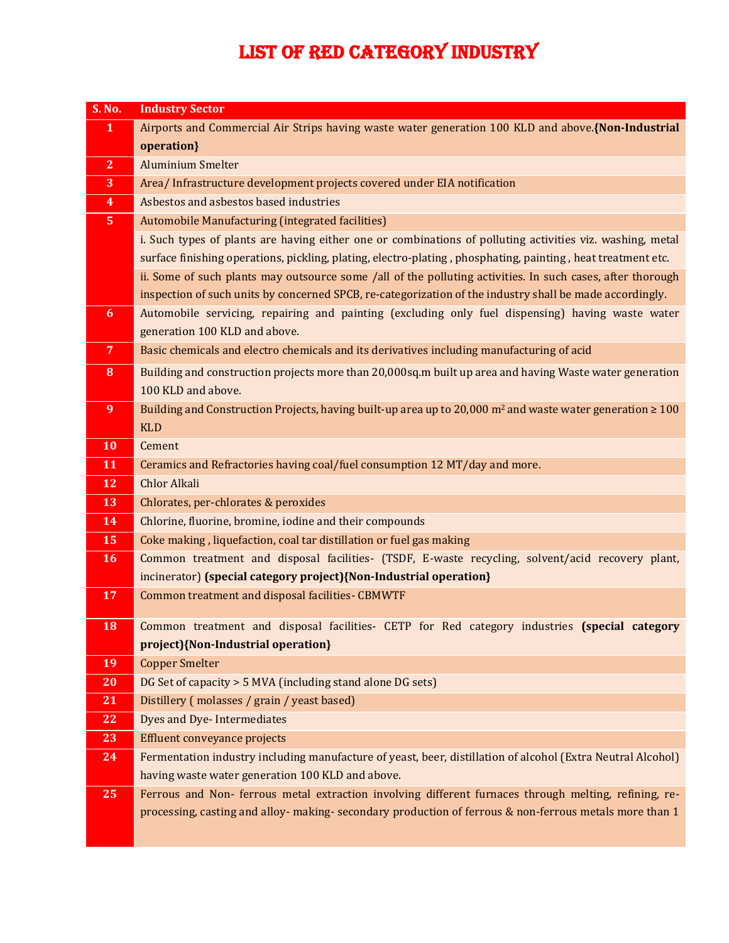## LIST OF RED CATEGORY INDUSTRY

| S. No.                  | <b>Industry Sector</b>                                                                                            |
|-------------------------|-------------------------------------------------------------------------------------------------------------------|
| $\mathbf{1}$            | Airports and Commercial Air Strips having waste water generation 100 KLD and above. (Non-Industrial               |
|                         | operation}                                                                                                        |
| $\overline{2}$          | <b>Aluminium Smelter</b>                                                                                          |
| 3                       | Area/Infrastructure development projects covered under EIA notification                                           |
| $\overline{\mathbf{4}}$ | Asbestos and asbestos based industries                                                                            |
| 5 <sub>5</sub>          | Automobile Manufacturing (integrated facilities)                                                                  |
|                         | i. Such types of plants are having either one or combinations of polluting activities viz. washing, metal         |
|                         | surface finishing operations, pickling, plating, electro-plating, phosphating, painting, heat treatment etc.      |
|                         | ii. Some of such plants may outsource some /all of the polluting activities. In such cases, after thorough        |
|                         | inspection of such units by concerned SPCB, re-categorization of the industry shall be made accordingly.          |
| 6                       | Automobile servicing, repairing and painting (excluding only fuel dispensing) having waste water                  |
|                         | generation 100 KLD and above.                                                                                     |
| $\overline{7}$          | Basic chemicals and electro chemicals and its derivatives including manufacturing of acid                         |
| 8                       | Building and construction projects more than 20,000sq.m built up area and having Waste water generation           |
|                         | 100 KLD and above.                                                                                                |
| 9                       | Building and Construction Projects, having built-up area up to 20,000 $m^2$ and waste water generation $\geq 100$ |
|                         | <b>KLD</b>                                                                                                        |
| 10                      | Cement                                                                                                            |
| 11                      | Ceramics and Refractories having coal/fuel consumption 12 MT/day and more.                                        |
| 12                      | <b>Chlor Alkali</b>                                                                                               |
| 13                      | Chlorates, per-chlorates & peroxides                                                                              |
| 14                      | Chlorine, fluorine, bromine, iodine and their compounds                                                           |
| 15                      | Coke making, liquefaction, coal tar distillation or fuel gas making                                               |
| <b>16</b>               | Common treatment and disposal facilities- (TSDF, E-waste recycling, solvent/acid recovery plant,                  |
|                         | incinerator) (special category project) {Non-Industrial operation}                                                |
| 17                      | Common treatment and disposal facilities- CBMWTF                                                                  |
| 18                      | Common treatment and disposal facilities- CETP for Red category industries (special category                      |
|                         | project){Non-Industrial operation}                                                                                |
| 19                      | <b>Copper Smelter</b>                                                                                             |
| <b>20</b>               | DG Set of capacity > 5 MVA (including stand alone DG sets)                                                        |
| 21                      | Distillery (molasses / grain / yeast based)                                                                       |
| 22                      | <b>Dyes and Dye-Intermediates</b>                                                                                 |
| 23                      | Effluent conveyance projects                                                                                      |
| 24                      | Fermentation industry including manufacture of yeast, beer, distillation of alcohol (Extra Neutral Alcohol)       |
|                         | having waste water generation 100 KLD and above.                                                                  |
| 25                      | Ferrous and Non- ferrous metal extraction involving different furnaces through melting, refining, re-             |
|                         | processing, casting and alloy- making- secondary production of ferrous & non-ferrous metals more than 1           |
|                         |                                                                                                                   |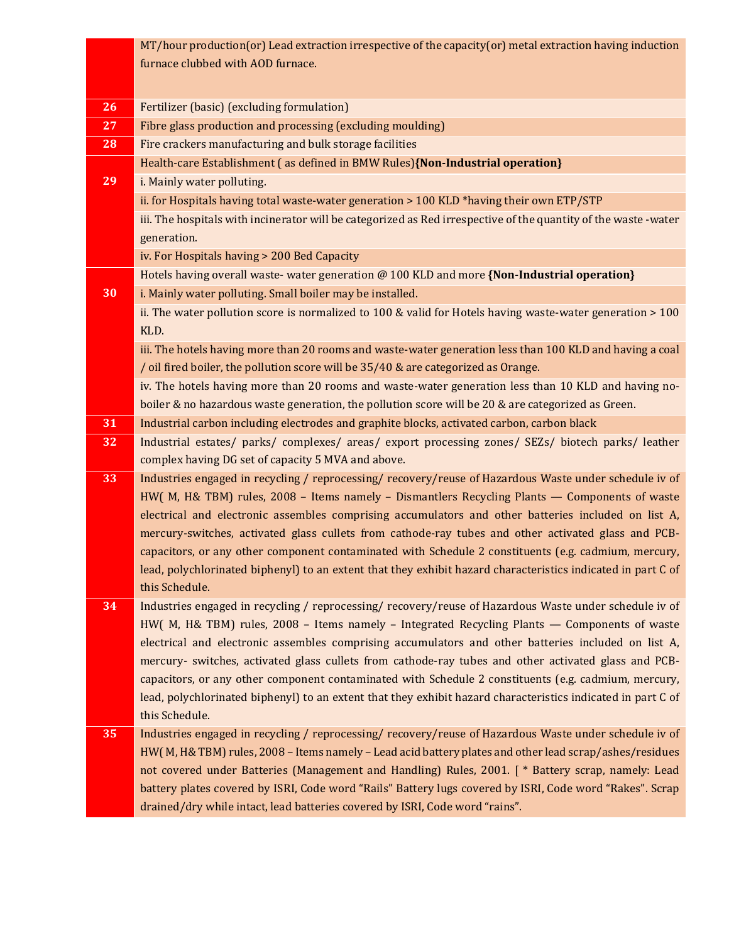|    | $MT/h$ our production(or) Lead extraction irrespective of the capacity(or) metal extraction having induction                                                                                                |
|----|-------------------------------------------------------------------------------------------------------------------------------------------------------------------------------------------------------------|
|    | furnace clubbed with AOD furnace.                                                                                                                                                                           |
|    |                                                                                                                                                                                                             |
| 26 | Fertilizer (basic) (excluding formulation)                                                                                                                                                                  |
| 27 | Fibre glass production and processing (excluding moulding)                                                                                                                                                  |
| 28 | Fire crackers manufacturing and bulk storage facilities                                                                                                                                                     |
|    | Health-care Establishment (as defined in BMW Rules){Non-Industrial operation}                                                                                                                               |
| 29 | i. Mainly water polluting.                                                                                                                                                                                  |
|    | ii. for Hospitals having total waste-water generation > 100 KLD *having their own ETP/STP                                                                                                                   |
|    | iii. The hospitals with incinerator will be categorized as Red irrespective of the quantity of the waste-water                                                                                              |
|    | generation.                                                                                                                                                                                                 |
|    | iv. For Hospitals having > 200 Bed Capacity                                                                                                                                                                 |
|    | Hotels having overall waste-water generation @ 100 KLD and more {Non-Industrial operation}                                                                                                                  |
| 30 | i. Mainly water polluting. Small boiler may be installed.                                                                                                                                                   |
|    | ii. The water pollution score is normalized to 100 & valid for Hotels having waste-water generation > 100                                                                                                   |
|    | KLD.                                                                                                                                                                                                        |
|    | iii. The hotels having more than 20 rooms and waste-water generation less than 100 KLD and having a coal                                                                                                    |
|    | / oil fired boiler, the pollution score will be 35/40 & are categorized as Orange.                                                                                                                          |
|    | iv. The hotels having more than 20 rooms and waste-water generation less than 10 KLD and having no-                                                                                                         |
|    | boiler & no hazardous waste generation, the pollution score will be 20 & are categorized as Green.                                                                                                          |
| 31 | Industrial carbon including electrodes and graphite blocks, activated carbon, carbon black                                                                                                                  |
| 32 | Industrial estates/ parks/ complexes/ areas/ export processing zones/ SEZs/ biotech parks/ leather                                                                                                          |
|    | complex having DG set of capacity 5 MVA and above.                                                                                                                                                          |
| 33 | Industries engaged in recycling / reprocessing/ recovery/reuse of Hazardous Waste under schedule iv of                                                                                                      |
|    | HW( M, H& TBM) rules, 2008 - Items namely - Dismantlers Recycling Plants - Components of waste                                                                                                              |
|    | electrical and electronic assembles comprising accumulators and other batteries included on list A,                                                                                                         |
|    | mercury-switches, activated glass cullets from cathode-ray tubes and other activated glass and PCB-                                                                                                         |
|    | capacitors, or any other component contaminated with Schedule 2 constituents (e.g. cadmium, mercury,                                                                                                        |
|    | lead, polychlorinated biphenyl) to an extent that they exhibit hazard characteristics indicated in part C of                                                                                                |
|    | this Schedule.                                                                                                                                                                                              |
| 34 | Industries engaged in recycling / reprocessing/ recovery/reuse of Hazardous Waste under schedule iv of                                                                                                      |
|    | HW( M, H& TBM) rules, 2008 - Items namely - Integrated Recycling Plants - Components of waste                                                                                                               |
|    | electrical and electronic assembles comprising accumulators and other batteries included on list A,<br>mercury- switches, activated glass cullets from cathode-ray tubes and other activated glass and PCB- |
|    | capacitors, or any other component contaminated with Schedule 2 constituents (e.g. cadmium, mercury,                                                                                                        |
|    | lead, polychlorinated biphenyl) to an extent that they exhibit hazard characteristics indicated in part C of                                                                                                |
|    | this Schedule.                                                                                                                                                                                              |
| 35 | Industries engaged in recycling / reprocessing/ recovery/reuse of Hazardous Waste under schedule iv of                                                                                                      |
|    | HW(M, H&TBM) rules, 2008 - Items namely - Lead acid battery plates and other lead scrap/ashes/residues                                                                                                      |
|    | not covered under Batteries (Management and Handling) Rules, 2001. [ * Battery scrap, namely: Lead                                                                                                          |
|    | battery plates covered by ISRI, Code word "Rails" Battery lugs covered by ISRI, Code word "Rakes". Scrap                                                                                                    |
|    | drained/dry while intact, lead batteries covered by ISRI, Code word "rains".                                                                                                                                |
|    |                                                                                                                                                                                                             |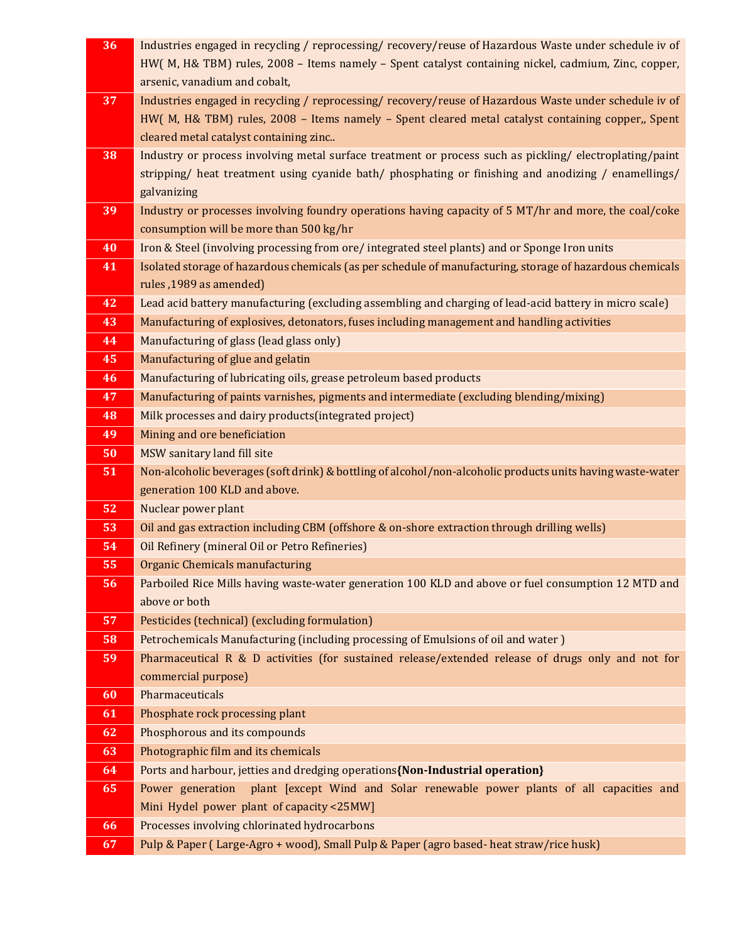| 36 | Industries engaged in recycling / reprocessing/ recovery/reuse of Hazardous Waste under schedule iv of     |
|----|------------------------------------------------------------------------------------------------------------|
|    | HW(M, H& TBM) rules, 2008 - Items namely - Spent catalyst containing nickel, cadmium, Zinc, copper,        |
|    | arsenic, vanadium and cobalt,                                                                              |
| 37 | Industries engaged in recycling / reprocessing/ recovery/reuse of Hazardous Waste under schedule iv of     |
|    | HW(M, H& TBM) rules, 2008 - Items namely - Spent cleared metal catalyst containing copper,, Spent          |
|    | cleared metal catalyst containing zinc                                                                     |
| 38 | Industry or process involving metal surface treatment or process such as pickling/electroplating/paint     |
|    | stripping/ heat treatment using cyanide bath/ phosphating or finishing and anodizing / enamellings/        |
|    | galvanizing                                                                                                |
| 39 | Industry or processes involving foundry operations having capacity of 5 MT/hr and more, the coal/coke      |
|    | consumption will be more than 500 kg/hr                                                                    |
| 40 | Iron & Steel (involving processing from ore/integrated steel plants) and or Sponge Iron units              |
| 41 | Isolated storage of hazardous chemicals (as per schedule of manufacturing, storage of hazardous chemicals  |
|    | rules, 1989 as amended)                                                                                    |
| 42 | Lead acid battery manufacturing (excluding assembling and charging of lead-acid battery in micro scale)    |
| 43 | Manufacturing of explosives, detonators, fuses including management and handling activities                |
| 44 | Manufacturing of glass (lead glass only)                                                                   |
| 45 | Manufacturing of glue and gelatin                                                                          |
| 46 | Manufacturing of lubricating oils, grease petroleum based products                                         |
| 47 | Manufacturing of paints varnishes, pigments and intermediate (excluding blending/mixing)                   |
| 48 | Milk processes and dairy products (integrated project)                                                     |
| 49 | Mining and ore beneficiation                                                                               |
| 50 | MSW sanitary land fill site                                                                                |
| 51 | Non-alcoholic beverages (soft drink) & bottling of alcohol/non-alcoholic products units having waste-water |
|    | generation 100 KLD and above.                                                                              |
| 52 | Nuclear power plant                                                                                        |
| 53 | Oil and gas extraction including CBM (offshore & on-shore extraction through drilling wells)               |
| 54 | Oil Refinery (mineral Oil or Petro Refineries)                                                             |
| 55 | Organic Chemicals manufacturing                                                                            |
| 56 | Parboiled Rice Mills having waste-water generation 100 KLD and above or fuel consumption 12 MTD and        |
|    | above or both                                                                                              |
| 57 | Pesticides (technical) (excluding formulation)                                                             |
| 58 | Petrochemicals Manufacturing (including processing of Emulsions of oil and water)                          |
| 59 | Pharmaceutical R & D activities (for sustained release/extended release of drugs only and not for          |
|    | commercial purpose)                                                                                        |
| 60 | Pharmaceuticals                                                                                            |
| 61 | Phosphate rock processing plant                                                                            |
| 62 | Phosphorous and its compounds                                                                              |
| 63 | Photographic film and its chemicals                                                                        |
| 64 | Ports and harbour, jetties and dredging operations {Non-Industrial operation}                              |
| 65 | plant [except Wind and Solar renewable power plants of all capacities and<br>Power generation              |
|    | Mini Hydel power plant of capacity <25MW]                                                                  |
| 66 | Processes involving chlorinated hydrocarbons                                                               |
| 67 | Pulp & Paper (Large-Agro + wood), Small Pulp & Paper (agro based- heat straw/rice husk)                    |